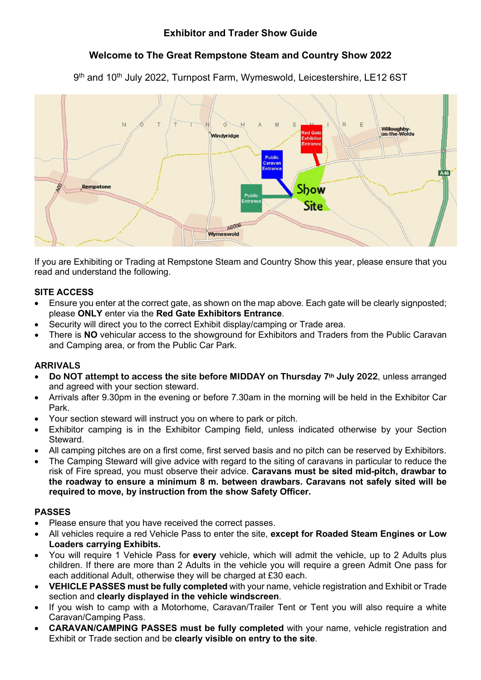# **Exhibitor and Trader Show Guide**

# **Welcome to The Great Rempstone Steam and Country Show 2022**

9<sup>th</sup> and 10<sup>th</sup> July 2022, Turnpost Farm, Wymeswold, Leicestershire, LE12 6ST



If you are Exhibiting or Trading at Rempstone Steam and Country Show this year, please ensure that you read and understand the following.

## **SITE ACCESS**

- Ensure you enter at the correct gate, as shown on the map above. Each gate will be clearly signposted; please **ONLY** enter via the **Red Gate Exhibitors Entrance**.
- Security will direct you to the correct Exhibit display/camping or Trade area.
- There is **NO** vehicular access to the showground for Exhibitors and Traders from the Public Caravan and Camping area, or from the Public Car Park.

### **ARRIVALS**

- **Do NOT attempt to access the site before MIDDAY on Thursday 7th July 2022**, unless arranged and agreed with your section steward.
- Arrivals after 9.30pm in the evening or before 7.30am in the morning will be held in the Exhibitor Car Park.
- Your section steward will instruct you on where to park or pitch.
- Exhibitor camping is in the Exhibitor Camping field, unless indicated otherwise by your Section Steward.
- All camping pitches are on a first come, first served basis and no pitch can be reserved by Exhibitors.
- The Camping Steward will give advice with regard to the siting of caravans in particular to reduce the risk of Fire spread, you must observe their advice. **Caravans must be sited mid-pitch, drawbar to the roadway to ensure a minimum 8 m. between drawbars. Caravans not safely sited will be required to move, by instruction from the show Safety Officer.**

#### **PASSES**

- Please ensure that you have received the correct passes.
- All vehicles require a red Vehicle Pass to enter the site, **except for Roaded Steam Engines or Low Loaders carrying Exhibits.**
- You will require 1 Vehicle Pass for **every** vehicle, which will admit the vehicle, up to 2 Adults plus children. If there are more than 2 Adults in the vehicle you will require a green Admit One pass for each additional Adult, otherwise they will be charged at £30 each.
- **VEHICLE PASSES must be fully completed** with your name, vehicle registration and Exhibit or Trade section and **clearly displayed in the vehicle windscreen**.
- If you wish to camp with a Motorhome, Caravan/Trailer Tent or Tent you will also require a white Caravan/Camping Pass.
- **CARAVAN/CAMPING PASSES must be fully completed** with your name, vehicle registration and Exhibit or Trade section and be **clearly visible on entry to the site**.